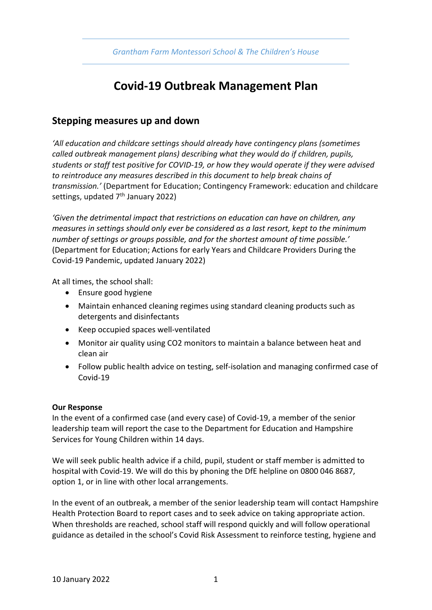# **Covid-19 Outbreak Management Plan**

## **Stepping measures up and down**

*'All education and childcare settings should already have contingency plans (sometimes called outbreak management plans) describing what they would do if children, pupils, students or staff test positive for COVID-19, or how they would operate if they were advised to reintroduce any measures described in this document to help break chains of transmission.'* (Department for Education; Contingency Framework: education and childcare settings, updated  $7<sup>th</sup>$  January 2022)

*'Given the detrimental impact that restrictions on education can have on children, any measures in settings should only ever be considered as a last resort, kept to the minimum number of settings or groups possible, and for the shortest amount of time possible.'*  (Department for Education; Actions for early Years and Childcare Providers During the Covid-19 Pandemic, updated January 2022)

At all times, the school shall:

- Ensure good hygiene
- Maintain enhanced cleaning regimes using standard cleaning products such as detergents and disinfectants
- Keep occupied spaces well-ventilated
- Monitor air quality using CO2 monitors to maintain a balance between heat and clean air
- Follow public health advice on testing, self-isolation and managing confirmed case of Covid-19

#### **Our Response**

In the event of a confirmed case (and every case) of Covid-19, a member of the senior leadership team will report the case to the Department for Education and Hampshire Services for Young Children within 14 days.

We will seek public health advice if a child, pupil, student or staff member is admitted to hospital with Covid-19. We will do this by phoning the DfE helpline on 0800 046 8687, option 1, or in line with other local arrangements.

In the event of an outbreak, a member of the senior leadership team will contact Hampshire Health Protection Board to report cases and to seek advice on taking appropriate action. When thresholds are reached, school staff will respond quickly and will follow operational guidance as detailed in the school's Covid Risk Assessment to reinforce testing, hygiene and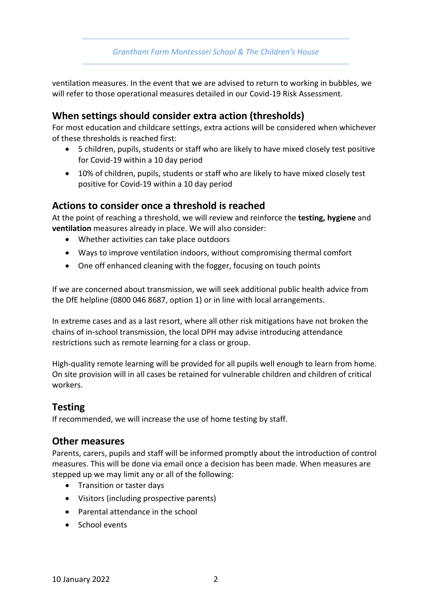*Grantham Farm Montessori School & The Children's House*

ventilation measures. In the event that we are advised to return to working in bubbles, we will refer to those operational measures detailed in our Covid-19 Risk Assessment.

# **When settings should consider extra action (thresholds)**

For most education and childcare settings, extra actions will be considered when whichever of these thresholds is reached first:

- 5 children, pupils, students or staff who are likely to have mixed closely test positive for Covid-19 within a 10 day period
- 10% of children, pupils, students or staff who are likely to have mixed closely test positive for Covid-19 within a 10 day period

## **Actions to consider once a threshold is reached**

At the point of reaching a threshold, we will review and reinforce the **testing, hygiene** and **ventilation** measures already in place. We will also consider:

- Whether activities can take place outdoors
- Ways to improve ventilation indoors, without compromising thermal comfort
- One off enhanced cleaning with the fogger, focusing on touch points

If we are concerned about transmission, we will seek additional public health advice from the DfE helpline (0800 046 8687, option 1) or in line with local arrangements.

In extreme cases and as a last resort, where all other risk mitigations have not broken the chains of in-school transmission, the local DPH may advise introducing attendance restrictions such as remote learning for a class or group.

High-quality remote learning will be provided for all pupils well enough to learn from home. On site provision will in all cases be retained for vulnerable children and children of critical workers.

# **Testing**

If recommended, we will increase the use of home testing by staff.

### **Other measures**

Parents, carers, pupils and staff will be informed promptly about the introduction of control measures. This will be done via email once a decision has been made. When measures are stepped up we may limit any or all of the following:

- Transition or taster days
- Visitors (including prospective parents)
- Parental attendance in the school
- School events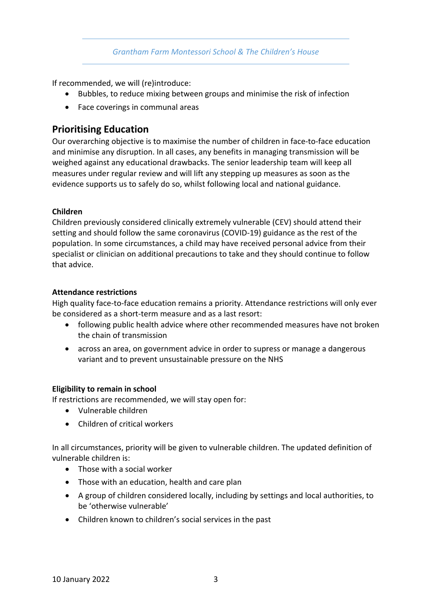If recommended, we will (re)introduce:

- Bubbles, to reduce mixing between groups and minimise the risk of infection
- Face coverings in communal areas

# **Prioritising Education**

Our overarching objective is to maximise the number of children in face-to-face education and minimise any disruption. In all cases, any benefits in managing transmission will be weighed against any educational drawbacks. The senior leadership team will keep all measures under regular review and will lift any stepping up measures as soon as the evidence supports us to safely do so, whilst following local and national guidance.

### **Children**

Children previously considered clinically extremely vulnerable (CEV) should attend their setting and should follow the same coronavirus (COVID-19) guidance as the rest of the population. In some circumstances, a child may have received personal advice from their specialist or clinician on additional precautions to take and they should continue to follow that advice.

### **Attendance restrictions**

High quality face-to-face education remains a priority. Attendance restrictions will only ever be considered as a short-term measure and as a last resort:

- following public health advice where other recommended measures have not broken the chain of transmission
- across an area, on government advice in order to supress or manage a dangerous variant and to prevent unsustainable pressure on the NHS

### **Eligibility to remain in school**

If restrictions are recommended, we will stay open for:

- Vulnerable children
- Children of critical workers

In all circumstances, priority will be given to vulnerable children. The updated definition of vulnerable children is:

- Those with a social worker
- Those with an education, health and care plan
- A group of children considered locally, including by settings and local authorities, to be 'otherwise vulnerable'
- Children known to children's social services in the past